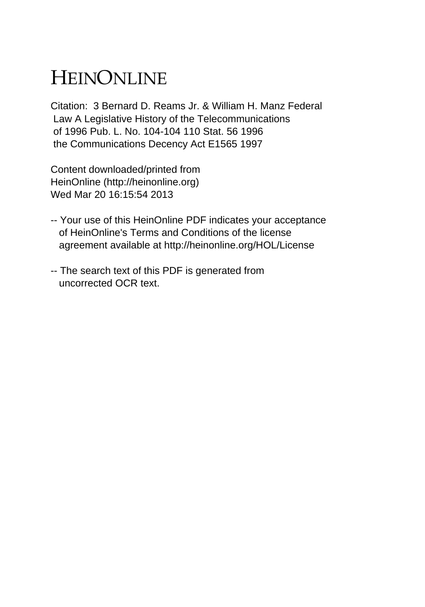# HEINONLINE

Citation: 3 Bernard D. Reams Jr. & William H. Manz Federal Law A Legislative History of the Telecommunications of 1996 Pub. L. No. 104-104 110 Stat. 56 1996 the Communications Decency Act E1565 1997

Content downloaded/printed from HeinOnline (http://heinonline.org) Wed Mar 20 16:15:54 2013

- -- Your use of this HeinOnline PDF indicates your acceptance of HeinOnline's Terms and Conditions of the license agreement available at http://heinonline.org/HOL/License
- -- The search text of this PDF is generated from uncorrected OCR text.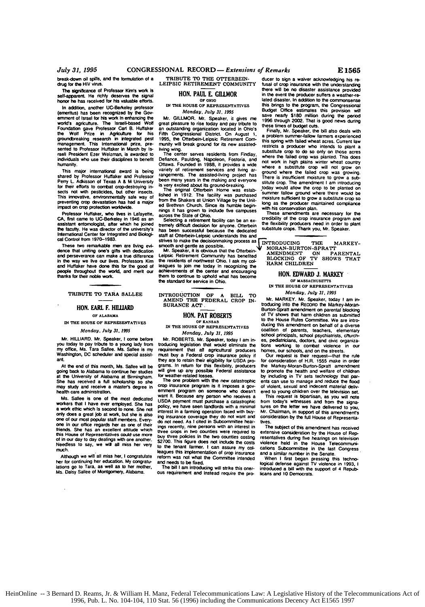break-down **oil** spills, and **the** formulation **of** <sup>a</sup> **dug** for the HIV virus.

self-apparent. He richly deserves the signal honor he has received for his valuable efforts.

In addition, another UC-Berkeley professor (emeritus) has been recognized **by the** Government of Israel for his work in enhancing the<br>world's agriculture. The Israeli-based World<br>Foundation gave Professor Carl B. Huffaker<br>the Wolf Prize in Agriculture for his F<br>groundbreaking research in integrated pest 1 management. This international prize, pre-<br>sented to Professor Huffaker in March by Is-<br>raeli President Ezer Weizman, is awarded to individuals who use **their** disciplines to benefit humanity.

This major international award **is** being shared by Professor Huflaker and Professor Perry L Adkisson of Texas **A &** M Urversity sects not with pesticides, but other insects. Sects hot with pesocides, out dater insects.<br>This innovative, environmentally safe way of<br>preventing crop devastation has had a major impact on crop protection worldwide.

Professor Huffaker, who **lives** in Lafayette. CA, inst came to occurrency the critical and capital assistant entomologist, after which he joined<br>the faculty. He was director of the university's<br>International Center for integrated and Biologi-<br>cal Control from 1970–198

These two remarkable men are tying evi- dence **that** uniting one's gifts with dedication and perseverance can make a **true** difference **in the** way we live our lives. Professors Kim and Huffaker have done this for the **good of** people throughout **the word, and merit** our thanks for **their** noble work.

## TRIBUTE TO TARA **SALLEE**

## **HON. EARL F. HILLIARD**

OF ALABAMA **IN THE HOUSE** OF REPRESENTATIVES

Monday, July **31.** *1995*

Mr. **HILLIARD.** Mr. Speaker, **I** come before you today to pay tribute to a young lady from my office, Ms. Tara Saee. Ms. Sallee is my Washington, **DC** scheduer and special assistant.

At **th end** of **this** month, Ms. **Sallee** wilt be going back to Alabama to continue her studies at the University **of** Alabama at **Birmingham.** She has received a **Mll** scholarship so she may **study** and receive **a** master's degree **in health** care administratio.

Ms. Satlee is one **of the most** dedicated workers that **I** have ever employed. She has a work ethic which **Is** second to none. She **not** only does **a great job** at work, **but** she is also one in our office regards her as one of their<br>friends. She has an excellent attitude which this House of Representatives could use more of in our day to day dealings with one another. Needless to say. we wig **all** miss her very much.

Although we will all miss her, I congratulate her for continuing her education. My congratu-Inchine community from a well as to her mother,<br>Ms. Daisy Sallee of Montgomery, Alabama.

 $\cdot$ 

IN The novel of Monday, July 31, 1995<br>
Monday, July 31, 1995<br>
Mudget Office estimates this provision will<br>
Mr. GILLMOR. Mr. Speaker, it gives me a 1996 through 2002. That is good news during<br>
great pleasure to rise today a

ed Brethren Church. Since its humble begin-<br>hings it has grown to include five campuses with his conservation plan.<br>across the State of Ohio. These amendments are necessary for the

has been successful because the dedicated staff at Otterbein-Leipsic understands this and

leagues to join me today in recognizing **the** achievements of the center and encouraging **HON. EDWARD J. MARKEY**<br>
them to continue to uphold what has become<br>
the standard for service in Ohio the standard for service in Ohio.

**INTRODUCTION** OF **A** BILL TO Monday, July **31.1995 AMEND** THE FEDERAL CROP IN- Mr. MARKEY. Mr. Speaker, today **I** am in-

Mr. ROBERTS. Mr. Speaker, today I am in- es, pediatricians, doctors, and civic organiza-<br>toducing legislation that would eliminate the toons working to contact volones in our<br>toducing legislation that would eliminate the t ings recently, nine persons with an interest in The subject of this amendment has received<br>three crops in two countles were required to extensive consideration by the House of Rep-<br>by three policies in the two countles cen

TRIBUTE TO THE OTTERBEIN-<br>LEIPSIC RETIREMENT COMMUNITY **fusal of crop insurance with the understanding**<br>HON PAIII **F** CILLMOR<br>in the north the nord isstance provided the notation assistance **HOR. HOURE ALLY SET COLL INCORPORATE A WEATHER A WEATHER OF ONTO THE CONTROL CONTROL**<br>The components of the components of the components of the components of the components of the components of the components of the com **OF OHmO** lated disaster. In addition to the commonsense **IN** THE HOUSE **OF** REPRESENTATIVES this brings to ohe program, **the** Congressional

munity will break ground for its new assisted-<br>restricts a producer who intends to plant a<br>munity wing.<br>The center serves residents from Findlay, substitute crop to do so only on those acres<br>Offance. Paulding, Napoleon. Fe lished in 1912. The facility was purchased solution allow when the evolup be<br>from the Shakers at Union Village by the Unit. Dong as the producer maintained compliance<br>ed Brethren Church. Since its humble begin-<br>with his co

I receibility of the crop insurance program and<br>the flexibility producers need in order to plant across the State of Ohio.<br>
Selecting a retirement facility can be an ex-<br>
tremely difficult decision for anyone. Otterbein the flexibility producers need in order to<br>
has heen survessful herouse the decirated Substitute cr

start at Ottenber-Lepsic uncertaints uns and<br>stress as  $\overline{\text{INTRODUCTIONG}}$  THE MARKEY-<br>stress to make the decision<br>making process as  $\overline{\text{INTRODUCTIONG}}$  MIN. Speaker, it is obvious that to Ottenber-<br>MIN. Speaker, it is obvious that the

**IN** THE **HOUSE** OF REPRESENTATIVES

**SURANCE ACT.** troducing into **the RECORD the** Markey-Moran-Burton-Sprant amendment on parental **blocking HON.** PAT ROBERTS **of** TV shows **that** harm children as submitted OF **KANSAS to the** House **Rules** Committee. We are intro-IN THE HOUSE OF REPRESENTATIVES coalition of parents, teachers, elementary<br>Mr. ROBERTS. Mr. Speaker, today I am in- es. pediatricians, school psychiatrists, church-<br>Mr. ROBERTS. Mr. Speaker, today I am in- es. pediatrician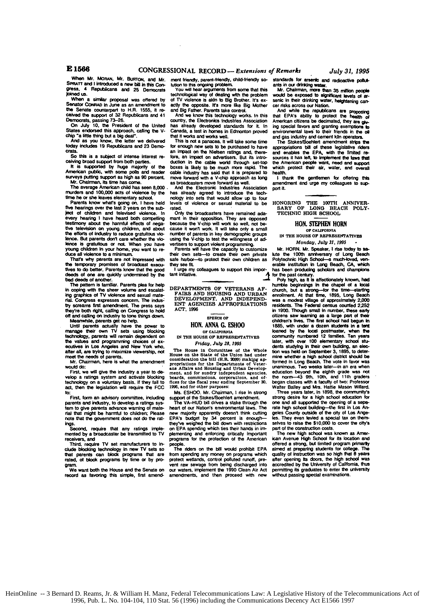When Mr. MORAN, Mr. BURTON, and Mr.<br>SPRATT and I introduced a new bill in this Con-<br>gress, 4 Republicans and 25 Democrats **gross.** 4 Republicans and **25** Democrats Joined us.

When a cimler proposal was offered **by** Senator **CONRAD** in June as an amendment to **the** Senate counterpart to H.R. **1555,** it **re**calved the support of **32** Republcans and 41

Democrats, passing 73–26.<br>On July 10, the President of the United<br>States endorsed this approach, calling the V-<br>chip "a little thing but a big deal".<br>And as you know, the letter we delivered<br>today includes 19 Republicans a

crats.

So this is a subject of intense interest re-<br>ceiving broad support from both parties. **ceiving** broad support from both parties. It is supported **by** huge **rrajoty** of the

American **puic,** with some pos and reader surveys puffing support as high as **90** percent. Mr. Chairman, its **time** has come.

The average American child has **seen 8,000** murders **and 100,000 acts of** violence **by** the

time he or she leaves elementary school, **Parents** know what's going on. **I** have held **five** hearings over **the** fast 2 years **on** the aru- **ject of** children and televised violence. In every hearing **I** have heard both compefting testimony about **the** harmful effects of negative television on young children, and about **the** efforts **of** Industry to reduce gratuitous **vio-**lence. But parents don't care whether **the viao** lence is gratuitous or not. When you have **young** children In your home, you want to re- **due** all violence to a **mnimur.**

**That's** why parents are not impressed with **the** temporary promises of broadcest **exeu**fives of one are quickly undermined by bad deeds of another.

The pattern is familiar. Parents plea for help In coping with **the** sheer volume and escalat **ing** graphics of TV violence and **sexual** mate-rial. Congress expresses concem. The **indus***by* screams first amendment. The pres **says** they're both **right,** calning on Congress to hold **off** and calling on industry to tone things down.

Meanwhile. parents get no help. Until parents actually have the power to manage their own TV sets using blocking technology, parents will remain dependent on **the values** and programming choices **of ex-**ecutives in Los Angeles and **New** York who, after **all,** a trying to maxinize viewership, not meet **the** needs of parents.

Mr. Chairman, here is what the amendment

First, we will give the industry a year to develop a ratings system and activate blocling technology **on** a voluntary basis. **If** they fail to act, then the legislation **will** require the **FCC**

to:<br>First, form an advisory committee, including<br>parents and industry, to develop a ratings sys*tem* to give parents advance warning of mate- fl that migh be harmful to **children;** Please note that **the** government does not do the rat-

imgs. Second. require **that** any ratings imple- mented **by** a broadcaster be transmitted to TV receivers, and

Third, require TV set manufacturers to Indude blocking technology In new TV sets **so** that parents can **block** programs that are rated, of block programs **by** time or **by** pro-

**gram.** We want both the House **and** the Senate on record as favoring this simple, first amendment **friendly.** parent-frieanly. child-friendly **so**tuton to *ei* ongoing proten. You will hear argumsents from some **that** this

technological way **of** dealing with the **problem of** TV violence is akin **to** Big Brother. It's **ex**actly the opposite. **Irs** more **lie Big** Mother and **Big** Father. Parents take control.

**And we** know **this** technology works. **In** this **country,** the Electronics Industries Association has already developed standards for **it** In Canada, **a** test in homes in Edmonton proved

This is not a panacea. It will take some time for enough new **sets** to be purchased to have an impact on the Nielsen ratings and, there**fore,** an **inipact** on advertisers. But its introduction in the cable world through set-top boxes is ikely to **be** much more rapid. The cable industry has said **that t** is prepared to move forward with a V-chip approach as **long**

And the Electronic Industries Association has already agreed to introduce **the** technology into **sets** that would allow **up** to four levels of violence or **sexual** matenal to be rated.

Only the broadcasters have remained **ada mant** in their opposition. They are opposed because the **V-chip** will work so **well,** not benumber of parents in key demographic groups using the V-chip to test the willingness of ad-

vertisers to support violent programming. Parents will have the capacity to customize their own sets-to create their own private safe harbor-to protect their own children as they see fit.

**t i**urge my colleagues to support this important initiative.

DEPARTMENTS **OF** VETERANS **AF-**FAIRS **AND HOUSING AND URBAN DEVELOPMENT, AND INDEPEND- ENT AGENCIES** APPROPRIATIONS **ACT.** <sup>1990</sup>

## **SPEECH OF**

## **HON. ANNA G. ESHOO** OF CALIFORNIA

### **IN THE HOUSE OF REPRESENTATIVES** Friday, July *28,* **1995**

The Soe in Committee of the Whole Hone **on** the State **of** the **Unlon had** under consideration the bill **(H.R. 2099) maklpg** appropriatios **for** the Departments **of** Voter aml Affairs **and** Hong and Urban Develop **ment,** and for sundry independent agencies. **boardc.** commissions, corporations, **and of- nices** for the **fiscal** year ending September **30, 199.** and for other purposes:

Ms. **ESHOO.** Mr. Chairman, **I** rise in strong

support of the Stokes/Boehlert amendment. The **VA-HUO bill** drives a stake through the heart of our Nation's environmental laws. The<br>new majority apparently doesn't think cutting<br>EPA's budget by 34 percent is enough-<br>they've weighed the bill down with restrictions on **EPA** spending which **ties** their hands in **im**plementing and enforcing critically Important programs for the protection of the American people.

The riders on **the bill** would prohibit **EPA** from spending **any** money on programs which protect welands, control **poluted** runoff, prevent raw sewage from being discharged into our waters, implement the **1990** Clean Air Act amendments, and then proceed with **new**

*July 31, 1995*

standards for **ersern and** redoactive pets- **ants** in **or** drinking watr. Mr. Chainnan, more than **35** milion people word in their drinking water, heightening cancer risks across our Nation.

And while the republicans are proposing<br>that EPA's ability to protect the health of American citizens be decimated, they are giving special favors and granting exemptions to environmental laws to their friends in the old

and gas industry and cement kiln operators.<br>The Stokes/Boehlert amendment strips the<br>appropriations bill of these legislative riders<br>and enables the EPA, with the limited resources it has left, **to implement the laws that**<br>the American people want, need and support<br>which protect their air, water, and overall<br>health.

health. **I thank the** gentlemen for offering **Ot** amendment and urge my colleagues to sup port **it.**

**HONORING THE** 1O0TH **ANNIVER-**SARY **OF LONG** BEACH POLY- TECHNIC HIGH **SCHOOL**

## **HON. STEPHEN** HORN

**OF CAtjFOPN11A**

**IN THE HOUSE OF** REPRESENTATIVEa **Monday,** July **31, 1995 -**

Mr. HORN. Mr. Speaker, I rise today to s kite the 100th **8a1ersay of** Long Beach Polytechnic **High Scho--a Iuch-oved,** vanerable institution in Long Beach, CA, which<br>has been producing scholars and champions

has been producing scholars and champiOns for **the** past century. Poly high, as **it is** affectionately known, **had** humble beginnings In the chapel of a **local** church, but **a** strong-or the **tim--staering** enrollment. At **that** ime, **1895,** Long Beach was a modest village of approximately 2,000 residents. The Federal census counted 2,252<br>in 1900. Though small in number, these early citizens **saw** leaming **as** a large part of **their chadren's lives.** The first **school had** begun **In 1885,** with **under a** dozen tudents in **a ls** loaned **by** the local postmastar. when **the community** numbered 12 **famlies. Ten yeae** later, with over 100 elementary school stu-<br>dents studying in their own building, an elec-<br>tion was held on September 3, 1895, to deter-<br>mine whether a high school district should be<br>formed in Long Beach. The vote in lavor education beyond the eighth grade was **not** the norm---43 9th. 10th, and **11th** graders began classes with a faculty of two: Professor Waiter Bailey and Mrs. Hattie Mason Wiflard.

Three **years** later, in **1898,** the **community's** state and all supported the opening of a separate high school building—the first in Los Angeles County outside of the city of Los Angeles.<br>Les The went level as social tax on them selves to raise the \$10,000 to cover the city's part of the construction costs.

part of the construction costs. The new **high school** was known as Amer ican Avenue High **School** for its location and offered a strong, but limited program primar**ily**<br>aimed at preparing students for college. The<br>quality of instruction was so high that 8 years after opening **Its** doors, the **high school was** permitting its graduates to enter the university without passing special **examinations.**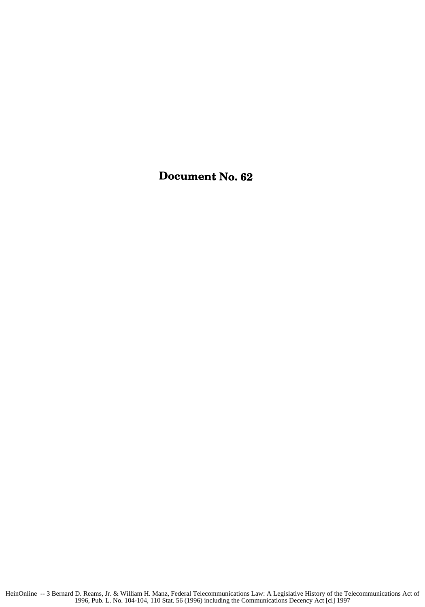Document No. **62**

 $\sim$   $\sim$